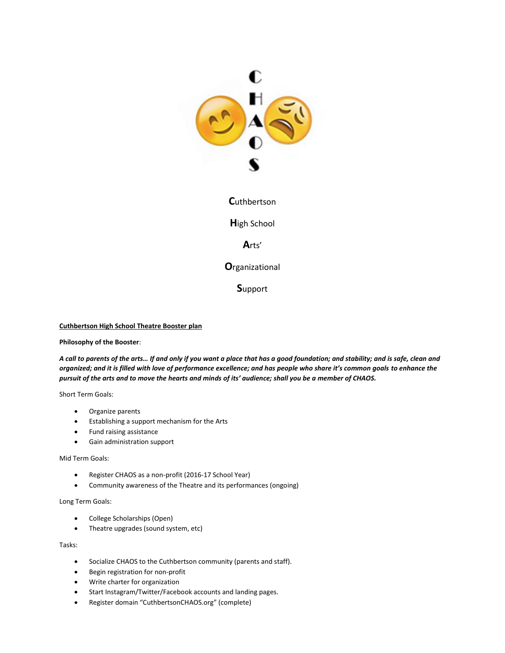

**C**uthbertson

**H**igh School

**A**rts'

**O**rganizational

**S**upport

#### **Cuthbertson High School Theatre Booster plan**

#### **Philosophy of the Booster**:

*A call to parents of the arts… If and only if you want a place that has a good foundation; and stability; and is safe, clean and organized; and it is filled with love of performance excellence; and has people who share it's common goals to enhance the pursuit of the arts and to move the hearts and minds of its' audience; shall you be a member of CHAOS.*

Short Term Goals:

- Organize parents
- Establishing a support mechanism for the Arts
- Fund raising assistance
- Gain administration support

#### Mid Term Goals:

- Register CHAOS as a non-profit (2016-17 School Year)
- Community awareness of the Theatre and its performances (ongoing)

#### Long Term Goals:

- College Scholarships (Open)
- Theatre upgrades (sound system, etc)

Tasks:

- Socialize CHAOS to the Cuthbertson community (parents and staff).
- Begin registration for non-profit
- Write charter for organization
- Start Instagram/Twitter/Facebook accounts and landing pages.
- Register domain "CuthbertsonCHAOS.org" (complete)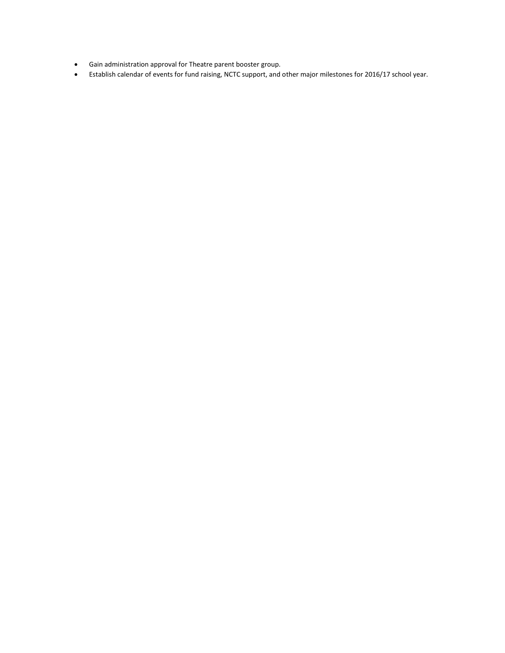- Gain administration approval for Theatre parent booster group.
- Establish calendar of events for fund raising, NCTC support, and other major milestones for 2016/17 school year.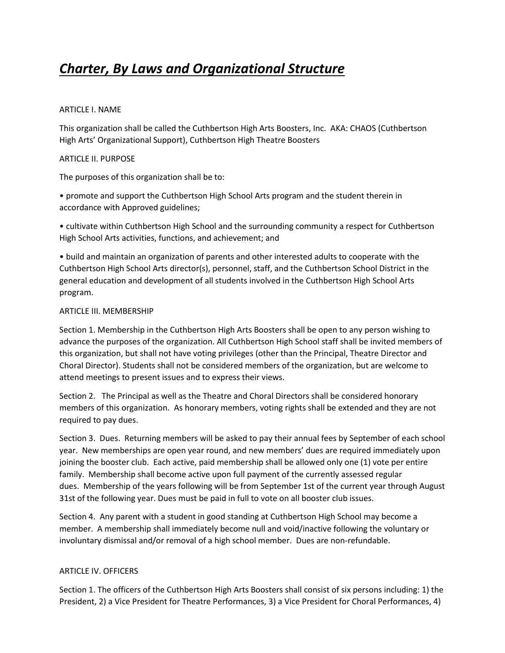# *Charter, By Laws and Organizational Structure*

#### ARTICLE I. NAME

This organization shall be called the Cuthbertson High Arts Boosters, Inc. AKA: CHAOS (Cuthbertson High Arts' Organizational Support), Cuthbertson High Theatre Boosters

## ARTICLE II. PURPOSE

The purposes of this organization shall be to:

• promote and support the Cuthbertson High School Arts program and the student therein in accordance with Approved guidelines;

• cultivate within Cuthbertson High School and the surrounding community a respect for Cuthbertson High School Arts activities, functions, and achievement; and

• build and maintain an organization of parents and other interested adults to cooperate with the Cuthbertson High School Arts director(s), personnel, staff, and the Cuthbertson School District in the general education and development of all students involved in the Cuthbertson High School Arts program.

#### ARTICLE III. MEMBERSHIP

Section 1. Membership in the Cuthbertson High Arts Boosters shall be open to any person wishing to advance the purposes of the organization. All Cuthbertson High School staff shall be invited members of this organization, but shall not have voting privileges (other than the Principal, Theatre Director and Choral Director). Students shall not be considered members of the organization, but are welcome to attend meetings to present issues and to express their views.

Section 2. The Principal as well as the Theatre and Choral Directors shall be considered honorary members of this organization. As honorary members, voting rights shall be extended and they are not required to pay dues.

Section 3. Dues. Returning members will be asked to pay their annual fees by September of each school year. New memberships are open year round, and new members' dues are required immediately upon joining the booster club. Each active, paid membership shall be allowed only one (1) vote per entire family. Membership shall become active upon full payment of the currently assessed regular dues. Membership of the years following will be from September 1st of the current year through August 31st of the following year. Dues must be paid in full to vote on all booster club issues.

Section 4. Any parent with a student in good standing at Cuthbertson High School may become a member. A membership shall immediately become null and void/inactive following the voluntary or involuntary dismissal and/or removal of a high school member. Dues are non-refundable.

## ARTICLE IV. OFFICERS

Section 1. The officers of the Cuthbertson High Arts Boosters shall consist of six persons including: 1) the President, 2) a Vice President for Theatre Performances, 3) a Vice President for Choral Performances, 4)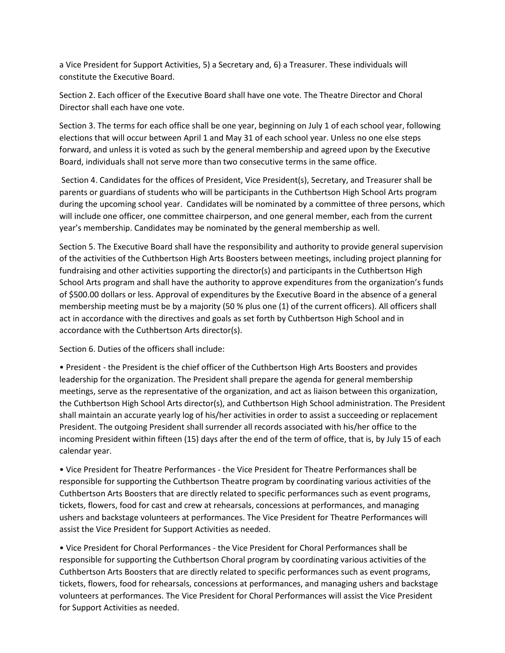a Vice President for Support Activities, 5) a Secretary and, 6) a Treasurer. These individuals will constitute the Executive Board.

Section 2. Each officer of the Executive Board shall have one vote. The Theatre Director and Choral Director shall each have one vote.

Section 3. The terms for each office shall be one year, beginning on July 1 of each school year, following elections that will occur between April 1 and May 31 of each school year. Unless no one else steps forward, and unless it is voted as such by the general membership and agreed upon by the Executive Board, individuals shall not serve more than two consecutive terms in the same office.

Section 4. Candidates for the offices of President, Vice President(s), Secretary, and Treasurer shall be parents or guardians of students who will be participants in the Cuthbertson High School Arts program during the upcoming school year. Candidates will be nominated by a committee of three persons, which will include one officer, one committee chairperson, and one general member, each from the current year's membership. Candidates may be nominated by the general membership as well.

Section 5. The Executive Board shall have the responsibility and authority to provide general supervision of the activities of the Cuthbertson High Arts Boosters between meetings, including project planning for fundraising and other activities supporting the director(s) and participants in the Cuthbertson High School Arts program and shall have the authority to approve expenditures from the organization's funds of \$500.00 dollars or less. Approval of expenditures by the Executive Board in the absence of a general membership meeting must be by a majority (50 % plus one (1) of the current officers). All officers shall act in accordance with the directives and goals as set forth by Cuthbertson High School and in accordance with the Cuthbertson Arts director(s).

Section 6. Duties of the officers shall include:

• President - the President is the chief officer of the Cuthbertson High Arts Boosters and provides leadership for the organization. The President shall prepare the agenda for general membership meetings, serve as the representative of the organization, and act as liaison between this organization, the Cuthbertson High School Arts director(s), and Cuthbertson High School administration. The President shall maintain an accurate yearly log of his/her activities in order to assist a succeeding or replacement President. The outgoing President shall surrender all records associated with his/her office to the incoming President within fifteen (15) days after the end of the term of office, that is, by July 15 of each calendar year.

• Vice President for Theatre Performances - the Vice President for Theatre Performances shall be responsible for supporting the Cuthbertson Theatre program by coordinating various activities of the Cuthbertson Arts Boosters that are directly related to specific performances such as event programs, tickets, flowers, food for cast and crew at rehearsals, concessions at performances, and managing ushers and backstage volunteers at performances. The Vice President for Theatre Performances will assist the Vice President for Support Activities as needed.

• Vice President for Choral Performances - the Vice President for Choral Performances shall be responsible for supporting the Cuthbertson Choral program by coordinating various activities of the Cuthbertson Arts Boosters that are directly related to specific performances such as event programs, tickets, flowers, food for rehearsals, concessions at performances, and managing ushers and backstage volunteers at performances. The Vice President for Choral Performances will assist the Vice President for Support Activities as needed.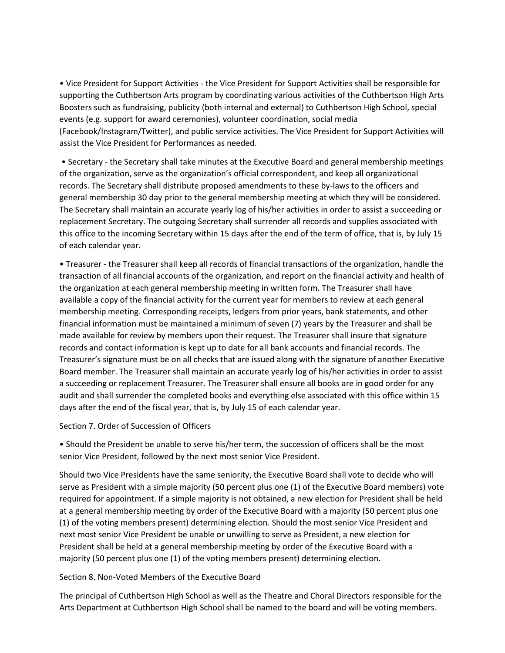• Vice President for Support Activities - the Vice President for Support Activities shall be responsible for supporting the Cuthbertson Arts program by coordinating various activities of the Cuthbertson High Arts Boosters such as fundraising, publicity (both internal and external) to Cuthbertson High School, special events (e.g. support for award ceremonies), volunteer coordination, social media (Facebook/Instagram/Twitter), and public service activities. The Vice President for Support Activities will assist the Vice President for Performances as needed.

• Secretary - the Secretary shall take minutes at the Executive Board and general membership meetings of the organization, serve as the organization's official correspondent, and keep all organizational records. The Secretary shall distribute proposed amendments to these by-laws to the officers and general membership 30 day prior to the general membership meeting at which they will be considered. The Secretary shall maintain an accurate yearly log of his/her activities in order to assist a succeeding or replacement Secretary. The outgoing Secretary shall surrender all records and supplies associated with this office to the incoming Secretary within 15 days after the end of the term of office, that is, by July 15 of each calendar year.

• Treasurer - the Treasurer shall keep all records of financial transactions of the organization, handle the transaction of all financial accounts of the organization, and report on the financial activity and health of the organization at each general membership meeting in written form. The Treasurer shall have available a copy of the financial activity for the current year for members to review at each general membership meeting. Corresponding receipts, ledgers from prior years, bank statements, and other financial information must be maintained a minimum of seven (7) years by the Treasurer and shall be made available for review by members upon their request. The Treasurer shall insure that signature records and contact information is kept up to date for all bank accounts and financial records. The Treasurer's signature must be on all checks that are issued along with the signature of another Executive Board member. The Treasurer shall maintain an accurate yearly log of his/her activities in order to assist a succeeding or replacement Treasurer. The Treasurer shall ensure all books are in good order for any audit and shall surrender the completed books and everything else associated with this office within 15 days after the end of the fiscal year, that is, by July 15 of each calendar year.

## Section 7. Order of Succession of Officers

• Should the President be unable to serve his/her term, the succession of officers shall be the most senior Vice President, followed by the next most senior Vice President.

Should two Vice Presidents have the same seniority, the Executive Board shall vote to decide who will serve as President with a simple majority (50 percent plus one (1) of the Executive Board members) vote required for appointment. If a simple majority is not obtained, a new election for President shall be held at a general membership meeting by order of the Executive Board with a majority (50 percent plus one (1) of the voting members present) determining election. Should the most senior Vice President and next most senior Vice President be unable or unwilling to serve as President, a new election for President shall be held at a general membership meeting by order of the Executive Board with a majority (50 percent plus one (1) of the voting members present) determining election.

## Section 8. Non-Voted Members of the Executive Board

The principal of Cuthbertson High School as well as the Theatre and Choral Directors responsible for the Arts Department at Cuthbertson High School shall be named to the board and will be voting members.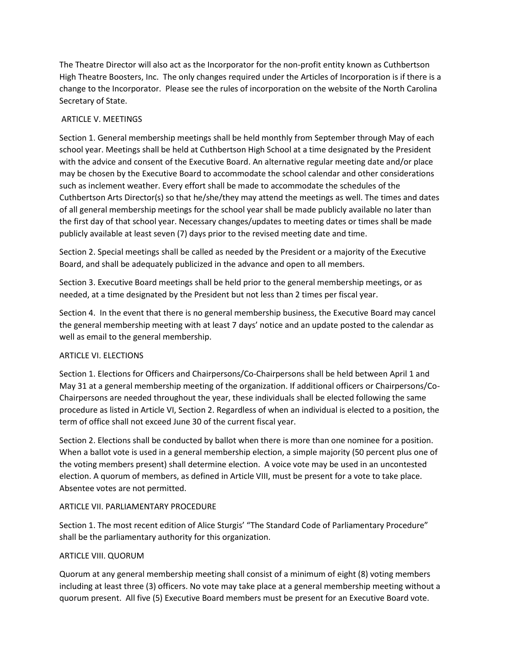The Theatre Director will also act as the Incorporator for the non-profit entity known as Cuthbertson High Theatre Boosters, Inc. The only changes required under the Articles of Incorporation is if there is a change to the Incorporator. Please see the rules of incorporation on the website of the North Carolina Secretary of State.

# ARTICLE V. MEETINGS

Section 1. General membership meetings shall be held monthly from September through May of each school year. Meetings shall be held at Cuthbertson High School at a time designated by the President with the advice and consent of the Executive Board. An alternative regular meeting date and/or place may be chosen by the Executive Board to accommodate the school calendar and other considerations such as inclement weather. Every effort shall be made to accommodate the schedules of the Cuthbertson Arts Director(s) so that he/she/they may attend the meetings as well. The times and dates of all general membership meetings for the school year shall be made publicly available no later than the first day of that school year. Necessary changes/updates to meeting dates or times shall be made publicly available at least seven (7) days prior to the revised meeting date and time.

Section 2. Special meetings shall be called as needed by the President or a majority of the Executive Board, and shall be adequately publicized in the advance and open to all members.

Section 3. Executive Board meetings shall be held prior to the general membership meetings, or as needed, at a time designated by the President but not less than 2 times per fiscal year.

Section 4. In the event that there is no general membership business, the Executive Board may cancel the general membership meeting with at least 7 days' notice and an update posted to the calendar as well as email to the general membership.

# ARTICLE VI. ELECTIONS

Section 1. Elections for Officers and Chairpersons/Co-Chairpersons shall be held between April 1 and May 31 at a general membership meeting of the organization. If additional officers or Chairpersons/Co-Chairpersons are needed throughout the year, these individuals shall be elected following the same procedure as listed in Article VI, Section 2. Regardless of when an individual is elected to a position, the term of office shall not exceed June 30 of the current fiscal year.

Section 2. Elections shall be conducted by ballot when there is more than one nominee for a position. When a ballot vote is used in a general membership election, a simple majority (50 percent plus one of the voting members present) shall determine election. A voice vote may be used in an uncontested election. A quorum of members, as defined in Article VIII, must be present for a vote to take place. Absentee votes are not permitted.

## ARTICLE VII. PARLIAMENTARY PROCEDURE

Section 1. The most recent edition of Alice Sturgis' "The Standard Code of Parliamentary Procedure" shall be the parliamentary authority for this organization.

## ARTICLE VIII. QUORUM

Quorum at any general membership meeting shall consist of a minimum of eight (8) voting members including at least three (3) officers. No vote may take place at a general membership meeting without a quorum present. All five (5) Executive Board members must be present for an Executive Board vote.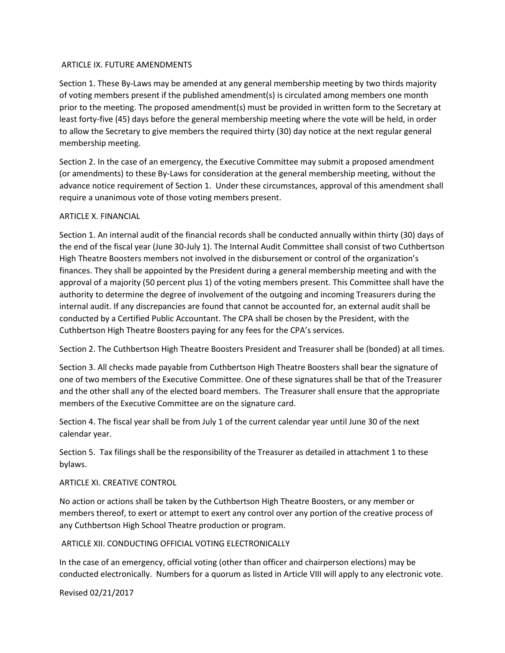#### ARTICLE IX. FUTURE AMENDMENTS

Section 1. These By-Laws may be amended at any general membership meeting by two thirds majority of voting members present if the published amendment(s) is circulated among members one month prior to the meeting. The proposed amendment(s) must be provided in written form to the Secretary at least forty-five (45) days before the general membership meeting where the vote will be held, in order to allow the Secretary to give members the required thirty (30) day notice at the next regular general membership meeting.

Section 2. In the case of an emergency, the Executive Committee may submit a proposed amendment (or amendments) to these By-Laws for consideration at the general membership meeting, without the advance notice requirement of Section 1. Under these circumstances, approval of this amendment shall require a unanimous vote of those voting members present.

## ARTICLE X. FINANCIAL

Section 1. An internal audit of the financial records shall be conducted annually within thirty (30) days of the end of the fiscal year (June 30-July 1). The Internal Audit Committee shall consist of two Cuthbertson High Theatre Boosters members not involved in the disbursement or control of the organization's finances. They shall be appointed by the President during a general membership meeting and with the approval of a majority (50 percent plus 1) of the voting members present. This Committee shall have the authority to determine the degree of involvement of the outgoing and incoming Treasurers during the internal audit. If any discrepancies are found that cannot be accounted for, an external audit shall be conducted by a Certified Public Accountant. The CPA shall be chosen by the President, with the Cuthbertson High Theatre Boosters paying for any fees for the CPA's services.

Section 2. The Cuthbertson High Theatre Boosters President and Treasurer shall be (bonded) at all times.

Section 3. All checks made payable from Cuthbertson High Theatre Boosters shall bear the signature of one of two members of the Executive Committee. One of these signatures shall be that of the Treasurer and the other shall any of the elected board members. The Treasurer shall ensure that the appropriate members of the Executive Committee are on the signature card.

Section 4. The fiscal year shall be from July 1 of the current calendar year until June 30 of the next calendar year.

Section 5. Tax filings shall be the responsibility of the Treasurer as detailed in attachment 1 to these bylaws.

## ARTICLE XI. CREATIVE CONTROL

No action or actions shall be taken by the Cuthbertson High Theatre Boosters, or any member or members thereof, to exert or attempt to exert any control over any portion of the creative process of any Cuthbertson High School Theatre production or program.

## ARTICLE XII. CONDUCTING OFFICIAL VOTING ELECTRONICALLY

In the case of an emergency, official voting (other than officer and chairperson elections) may be conducted electronically. Numbers for a quorum as listed in Article VIII will apply to any electronic vote.

Revised 02/21/2017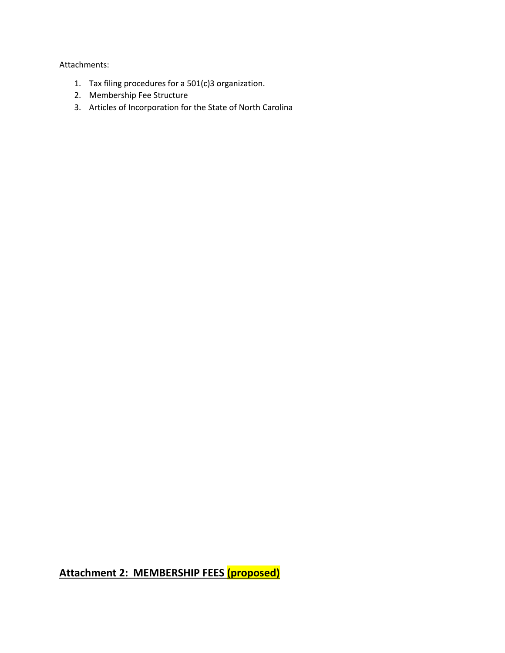Attachments:

- 1. Tax filing procedures for a 501(c)3 organization.
- 2. Membership Fee Structure
- 3. Articles of Incorporation for the State of North Carolina

**Attachment 2: MEMBERSHIP FEES (proposed)**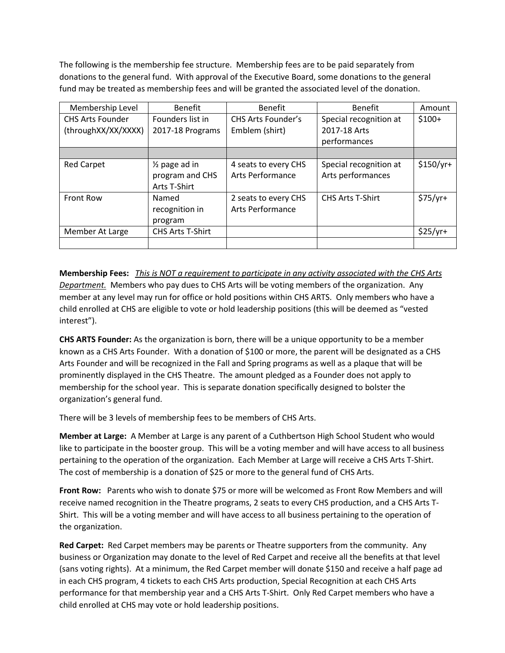The following is the membership fee structure. Membership fees are to be paid separately from donations to the general fund. With approval of the Executive Board, some donations to the general fund may be treated as membership fees and will be granted the associated level of the donation.

| Membership Level        | <b>Benefit</b>           | <b>Benefit</b>            | <b>Benefit</b>          | Amount     |
|-------------------------|--------------------------|---------------------------|-------------------------|------------|
| <b>CHS Arts Founder</b> | Founders list in         | <b>CHS Arts Founder's</b> | Special recognition at  | $$100+$    |
| (throughXX/XX/XXXX)     | 2017-18 Programs         | Emblem (shirt)            | 2017-18 Arts            |            |
|                         |                          |                           | performances            |            |
|                         |                          |                           |                         |            |
| <b>Red Carpet</b>       | $\frac{1}{2}$ page ad in | 4 seats to every CHS      | Special recognition at  | $$150/yr+$ |
|                         | program and CHS          | Arts Performance          | Arts performances       |            |
|                         | Arts T-Shirt             |                           |                         |            |
| Front Row               | Named                    | 2 seats to every CHS      | <b>CHS Arts T-Shirt</b> | $$75/yr+$  |
|                         | recognition in           | Arts Performance          |                         |            |
|                         | program                  |                           |                         |            |
| Member At Large         | <b>CHS Arts T-Shirt</b>  |                           |                         | $$25/yr+$  |
|                         |                          |                           |                         |            |

**Membership Fees:** *This is NOT a requirement to participate in any activity associated with the CHS Arts Department.* Members who pay dues to CHS Arts will be voting members of the organization. Any member at any level may run for office or hold positions within CHS ARTS. Only members who have a child enrolled at CHS are eligible to vote or hold leadership positions (this will be deemed as "vested interest").

**CHS ARTS Founder:** As the organization is born, there will be a unique opportunity to be a member known as a CHS Arts Founder. With a donation of \$100 or more, the parent will be designated as a CHS Arts Founder and will be recognized in the Fall and Spring programs as well as a plaque that will be prominently displayed in the CHS Theatre. The amount pledged as a Founder does not apply to membership for the school year. This is separate donation specifically designed to bolster the organization's general fund.

There will be 3 levels of membership fees to be members of CHS Arts.

**Member at Large:** A Member at Large is any parent of a Cuthbertson High School Student who would like to participate in the booster group. This will be a voting member and will have access to all business pertaining to the operation of the organization. Each Member at Large will receive a CHS Arts T-Shirt. The cost of membership is a donation of \$25 or more to the general fund of CHS Arts.

**Front Row:** Parents who wish to donate \$75 or more will be welcomed as Front Row Members and will receive named recognition in the Theatre programs, 2 seats to every CHS production, and a CHS Arts T-Shirt. This will be a voting member and will have access to all business pertaining to the operation of the organization.

**Red Carpet:** Red Carpet members may be parents or Theatre supporters from the community. Any business or Organization may donate to the level of Red Carpet and receive all the benefits at that level (sans voting rights). At a minimum, the Red Carpet member will donate \$150 and receive a half page ad in each CHS program, 4 tickets to each CHS Arts production, Special Recognition at each CHS Arts performance for that membership year and a CHS Arts T-Shirt. Only Red Carpet members who have a child enrolled at CHS may vote or hold leadership positions.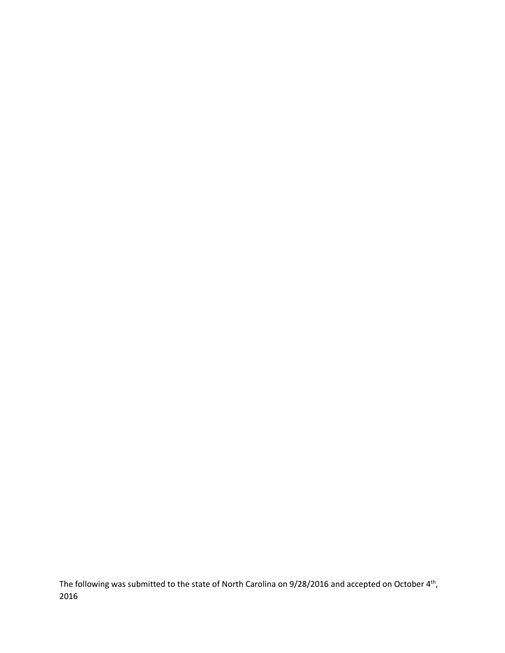The following was submitted to the state of North Carolina on 9/28/2016 and accepted on October 4<sup>th</sup>, 2016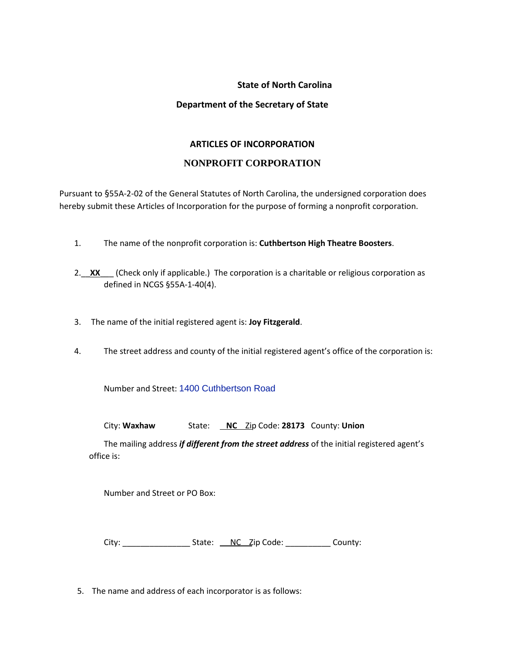## **State of North Carolina**

# **Department of the Secretary of State**

## **ARTICLES OF INCORPORATION**

# **NONPROFIT CORPORATION**

Pursuant to §55A-2-02 of the General Statutes of North Carolina, the undersigned corporation does hereby submit these Articles of Incorporation for the purpose of forming a nonprofit corporation.

- 1. The name of the nonprofit corporation is: **Cuthbertson High Theatre Boosters**.
- 2. XX (Check only if applicable.) The corporation is a charitable or religious corporation as defined in NCGS §55A-1-40(4).
- 3. The name of the initial registered agent is: **Joy Fitzgerald**.
- 4. The street address and county of the initial registered agent's office of the corporation is:

Number and Street: [1400 Cuthbertson Road](http://www.bing.com/mapspreview?&ty=18&q=Cuthbertson%20High&satid=id.sid%3adb30c612-b775-56fd-2b4b-3002715b6a46&ppois=34.9751319885254_-80.7369079589844_Cuthbertson%20High_~&cp=34.975132~-80.736908&v=2&sV=1)

City: **Waxhaw** State: **NC** Zip Code: **28173** County: **Union**

The mailing address *if different from the street address* of the initial registered agent's office is:

Number and Street or PO Box:

City:  $\frac{1}{\sqrt{2}}$  County:

5. The name and address of each incorporator is as follows: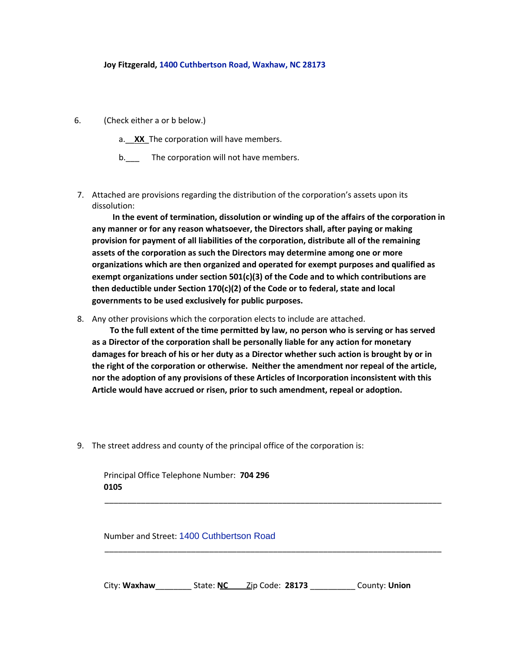#### **Joy Fitzgerald, [1400 Cuthbertson Road, Waxhaw, NC 28173](http://www.bing.com/mapspreview?&ty=18&q=Cuthbertson%20High&satid=id.sid%3adb30c612-b775-56fd-2b4b-3002715b6a46&ppois=34.9751319885254_-80.7369079589844_Cuthbertson%20High_~&cp=34.975132~-80.736908&v=2&sV=1)**

6. (Check either a or b below.)

a.\_\_**XX**\_The corporation will have members.

b. The corporation will not have members.

7. Attached are provisions regarding the distribution of the corporation's assets upon its dissolution:

**In the event of termination, dissolution or winding up of the affairs of the corporation in any manner or for any reason whatsoever, the Directors shall, after paying or making provision for payment of all liabilities of the corporation, distribute all of the remaining assets of the corporation as such the Directors may determine among one or more organizations which are then organized and operated for exempt purposes and qualified as exempt organizations under section 501(c)(3) of the Code and to which contributions are then deductible under Section 170(c)(2) of the Code or to federal, state and local governments to be used exclusively for public purposes.**

8. Any other provisions which the corporation elects to include are attached.

**To the full extent of the time permitted by law, no person who is serving or has served as a Director of the corporation shall be personally liable for any action for monetary damages for breach of his or her duty as a Director whether such action is brought by or in the right of the corporation or otherwise. Neither the amendment nor repeal of the article, nor the adoption of any provisions of these Articles of Incorporation inconsistent with this Article would have accrued or risen, prior to such amendment, repeal or adoption.**

9. The street address and county of the principal office of the corporation is:

Principal Office Telephone Number: **704 296 0105**

Number and Street: [1400 Cuthbertson Road](http://www.bing.com/mapspreview?&ty=18&q=Cuthbertson%20High&satid=id.sid%3adb30c612-b775-56fd-2b4b-3002715b6a46&ppois=34.9751319885254_-80.7369079589844_Cuthbertson%20High_~&cp=34.975132~-80.736908&v=2&sV=1)

City: **Waxhaw**\_\_\_\_\_\_\_\_ State: **NC** Zip Code: **28173** \_\_\_\_\_\_\_\_\_\_ County: **Union**

\_\_\_\_\_\_\_\_\_\_\_\_\_\_\_\_\_\_\_\_\_\_\_\_\_\_\_\_\_\_\_\_\_\_\_\_\_\_\_\_\_\_\_\_\_\_\_\_\_\_\_\_\_\_\_\_\_\_\_\_\_\_\_\_\_\_\_\_\_\_\_\_\_\_

\_\_\_\_\_\_\_\_\_\_\_\_\_\_\_\_\_\_\_\_\_\_\_\_\_\_\_\_\_\_\_\_\_\_\_\_\_\_\_\_\_\_\_\_\_\_\_\_\_\_\_\_\_\_\_\_\_\_\_\_\_\_\_\_\_\_\_\_\_\_\_\_\_\_